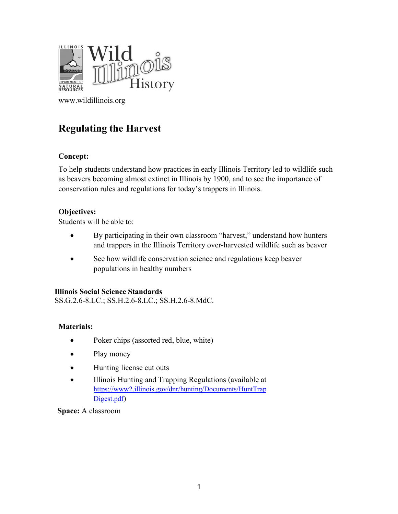

[www.wildillinois.org](http://www.wildillinois.org/)

# **Regulating the Harvest**

## **Concept:**

To help students understand how practices in early Illinois Territory led to wildlife such as beavers becoming almost extinct in Illinois by 1900, and to see the importance of conservation rules and regulations for today's trappers in Illinois.

## **Objectives:**

Students will be able to:

- By participating in their own classroom "harvest," understand how hunters and trappers in the Illinois Territory over-harvested wildlife such as beaver
- See how wildlife conservation science and regulations keep beaver populations in healthy numbers

## **Illinois Social Science Standards**

SS.G.2.6-8.LC.; SS.H.2.6-8.LC.; SS.H.2.6-8.MdC.

## **Materials:**

- Poker chips (assorted red, blue, white)
- Play money
- Hunting license cut outs
- Illinois Hunting and Trapping Regulations (available at [https://www2.illinois.gov/dnr/hunting/Documents/HuntTrap](https://www2.illinois.gov/dnr/hunting/Documents/HuntTrapDigest.pdf) [Digest.pdf\)](https://www2.illinois.gov/dnr/hunting/Documents/HuntTrapDigest.pdf)

**Space:** A classroom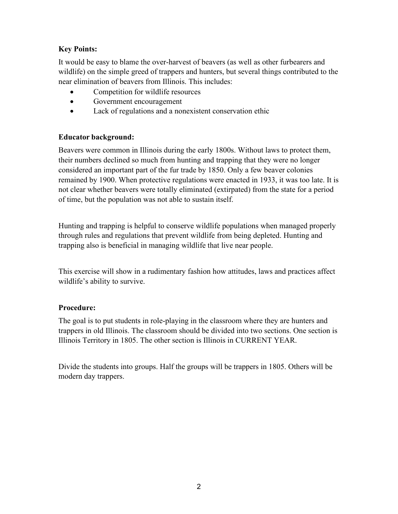## **Key Points:**

It would be easy to blame the over-harvest of beavers (as well as other furbearers and wildlife) on the simple greed of trappers and hunters, but several things contributed to the near elimination of beavers from Illinois. This includes:

- Competition for wildlife resources
- Government encouragement
- Lack of regulations and a nonexistent conservation ethic

## **Educator background:**

Beavers were common in Illinois during the early 1800s. Without laws to protect them, their numbers declined so much from hunting and trapping that they were no longer considered an important part of the fur trade by 1850. Only a few beaver colonies remained by 1900. When protective regulations were enacted in 1933, it was too late. It is not clear whether beavers were totally eliminated (extirpated) from the state for a period of time, but the population was not able to sustain itself.

Hunting and trapping is helpful to conserve wildlife populations when managed properly through rules and regulations that prevent wildlife from being depleted. Hunting and trapping also is beneficial in managing wildlife that live near people.

This exercise will show in a rudimentary fashion how attitudes, laws and practices affect wildlife's ability to survive.

## **Procedure:**

The goal is to put students in role-playing in the classroom where they are hunters and trappers in old Illinois. The classroom should be divided into two sections. One section is Illinois Territory in 1805. The other section is Illinois in CURRENT YEAR.

Divide the students into groups. Half the groups will be trappers in 1805. Others will be modern day trappers.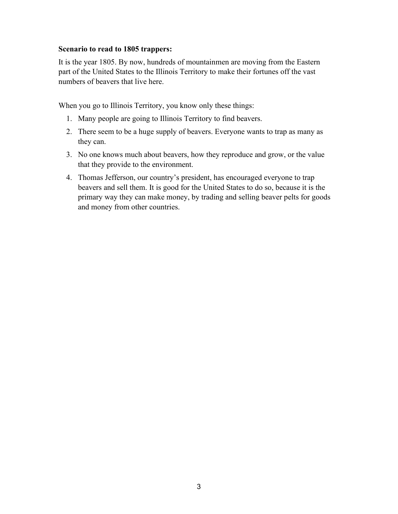#### **Scenario to read to 1805 trappers:**

It is the year 1805. By now, hundreds of mountainmen are moving from the Eastern part of the United States to the Illinois Territory to make their fortunes off the vast numbers of beavers that live here.

When you go to Illinois Territory, you know only these things:

- 1. Many people are going to Illinois Territory to find beavers.
- 2. There seem to be a huge supply of beavers. Everyone wants to trap as many as they can.
- 3. No one knows much about beavers, how they reproduce and grow, or the value that they provide to the environment.
- 4. Thomas Jefferson, our country's president, has encouraged everyone to trap beavers and sell them. It is good for the United States to do so, because it is the primary way they can make money, by trading and selling beaver pelts for goods and money from other countries.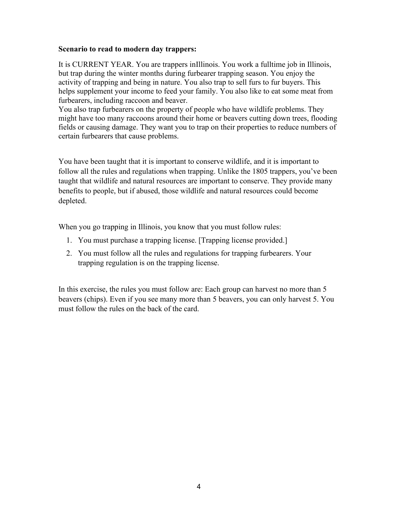#### **Scenario to read to modern day trappers:**

It is CURRENT YEAR. You are trappers inIllinois. You work a fulltime job in Illinois, but trap during the winter months during furbearer trapping season. You enjoy the activity of trapping and being in nature. You also trap to sell furs to fur buyers. This helps supplement your income to feed your family. You also like to eat some meat from furbearers, including raccoon and beaver.

You also trap furbearers on the property of people who have wildlife problems. They might have too many raccoons around their home or beavers cutting down trees, flooding fields or causing damage. They want you to trap on their properties to reduce numbers of certain furbearers that cause problems.

You have been taught that it is important to conserve wildlife, and it is important to follow all the rules and regulations when trapping. Unlike the 1805 trappers, you've been taught that wildlife and natural resources are important to conserve. They provide many benefits to people, but if abused, those wildlife and natural resources could become depleted.

When you go trapping in Illinois, you know that you must follow rules:

- 1. You must purchase a trapping license. [Trapping license provided.]
- 2. You must follow all the rules and regulations for trapping furbearers. Your trapping regulation is on the trapping license.

In this exercise, the rules you must follow are: Each group can harvest no more than 5 beavers (chips). Even if you see many more than 5 beavers, you can only harvest 5. You must follow the rules on the back of the card.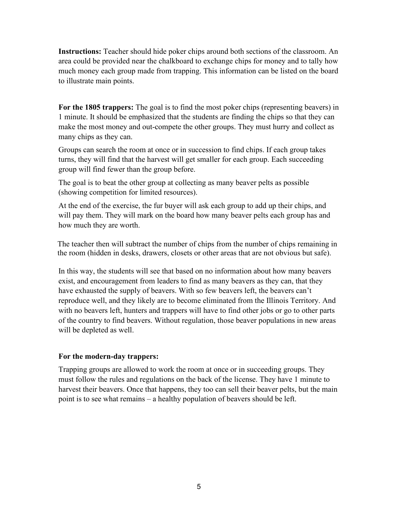**Instructions:** Teacher should hide poker chips around both sections of the classroom. An area could be provided near the chalkboard to exchange chips for money and to tally how much money each group made from trapping. This information can be listed on the board to illustrate main points.

**For the 1805 trappers:** The goal is to find the most poker chips (representing beavers) in 1 minute. It should be emphasized that the students are finding the chips so that they can make the most money and out-compete the other groups. They must hurry and collect as many chips as they can.

Groups can search the room at once or in succession to find chips. If each group takes turns, they will find that the harvest will get smaller for each group. Each succeeding group will find fewer than the group before.

The goal is to beat the other group at collecting as many beaver pelts as possible (showing competition for limited resources).

At the end of the exercise, the fur buyer will ask each group to add up their chips, and will pay them. They will mark on the board how many beaver pelts each group has and how much they are worth.

The teacher then will subtract the number of chips from the number of chips remaining in the room (hidden in desks, drawers, closets or other areas that are not obvious but safe).

In this way, the students will see that based on no information about how many beavers exist, and encouragement from leaders to find as many beavers as they can, that they have exhausted the supply of beavers. With so few beavers left, the beavers can't reproduce well, and they likely are to become eliminated from the Illinois Territory. And with no beavers left, hunters and trappers will have to find other jobs or go to other parts of the country to find beavers. Without regulation, those beaver populations in new areas will be depleted as well.

## **For the modern-day trappers:**

Trapping groups are allowed to work the room at once or in succeeding groups. They must follow the rules and regulations on the back of the license. They have 1 minute to harvest their beavers. Once that happens, they too can sell their beaver pelts, but the main point is to see what remains – a healthy population of beavers should be left.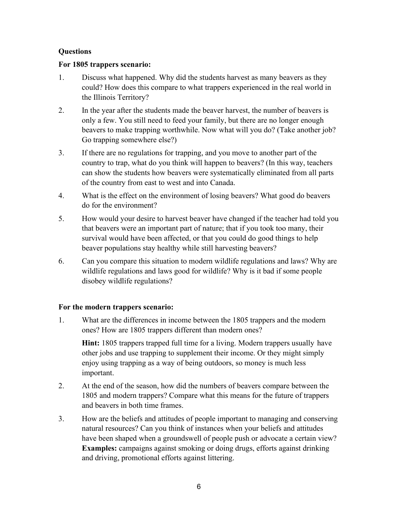## **Questions**

#### **For 1805 trappers scenario:**

- 1. Discuss what happened. Why did the students harvest as many beavers as they could? How does this compare to what trappers experienced in the real world in the Illinois Territory?
- 2. In the year after the students made the beaver harvest, the number of beavers is only a few. You still need to feed your family, but there are no longer enough beavers to make trapping worthwhile. Now what will you do? (Take another job? Go trapping somewhere else?)
- 3. If there are no regulations for trapping, and you move to another part of the country to trap, what do you think will happen to beavers? (In this way, teachers can show the students how beavers were systematically eliminated from all parts of the country from east to west and into Canada.
- 4. What is the effect on the environment of losing beavers? What good do beavers do for the environment?
- 5. How would your desire to harvest beaver have changed if the teacher had told you that beavers were an important part of nature; that if you took too many, their survival would have been affected, or that you could do good things to help beaver populations stay healthy while still harvesting beavers?
- 6. Can you compare this situation to modern wildlife regulations and laws? Why are wildlife regulations and laws good for wildlife? Why is it bad if some people disobey wildlife regulations?

## **For the modern trappers scenario:**

1. What are the differences in income between the 1805 trappers and the modern ones? How are 1805 trappers different than modern ones?

**Hint:** 1805 trappers trapped full time for a living. Modern trappers usually have other jobs and use trapping to supplement their income. Or they might simply enjoy using trapping as a way of being outdoors, so money is much less important.

- 2. At the end of the season, how did the numbers of beavers compare between the 1805 and modern trappers? Compare what this means for the future of trappers and beavers in both time frames.
- 3. How are the beliefs and attitudes of people important to managing and conserving natural resources? Can you think of instances when your beliefs and attitudes have been shaped when a groundswell of people push or advocate a certain view? **Examples:** campaigns against smoking or doing drugs, efforts against drinking and driving, promotional efforts against littering.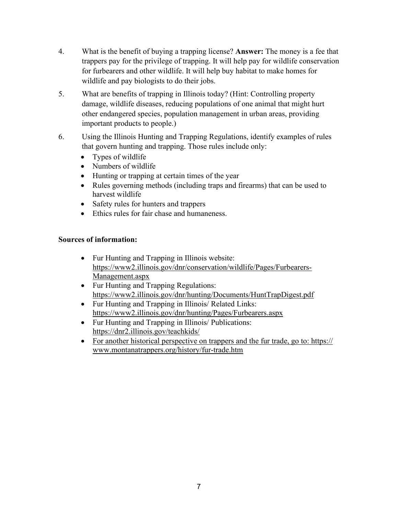- 4. What is the benefit of buying a trapping license? **Answer:** The money is a fee that trappers pay for the privilege of trapping. It will help pay for wildlife conservation for furbearers and other wildlife. It will help buy habitat to make homes for wildlife and pay biologists to do their jobs.
- 5. What are benefits of trapping in Illinois today? (Hint: Controlling property damage, wildlife diseases, reducing populations of one animal that might hurt other endangered species, population management in urban areas, providing important products to people.)
- 6. Using the Illinois Hunting and Trapping Regulations, identify examples of rules that govern hunting and trapping. Those rules include only:
	- Types of wildlife
	- Numbers of wildlife
	- Hunting or trapping at certain times of the year
	- Rules governing methods (including traps and firearms) that can be used to harvest wildlife
	- Safety rules for hunters and trappers
	- Ethics rules for fair chase and humaneness.

## **Sources of information:**

- Fur Hunting and Trapping in Illinois website: [https://www2.illinois.gov/dnr/conservation/wildlife/Pages/Furbearers-](https://www2.illinois.gov/dnr/conservation/wildlife/Pages/Furbearers-Management.aspx)[Management.aspx](https://www2.illinois.gov/dnr/conservation/wildlife/Pages/Furbearers-Management.aspx)
- Fur Hunting and Trapping Regulations: <https://www2.illinois.gov/dnr/hunting/Documents/HuntTrapDigest.pdf>
- Fur Hunting and Trapping in Illinois/ Related Links: <https://www2.illinois.gov/dnr/hunting/Pages/Furbearers.aspx>
- Fur Hunting and Trapping in Illinois/ Publications: <https://dnr2.illinois.gov/teachkids/>
- For another historical perspective on trappers and the fur trade, go to: https:// www.montanatrappers.org/history/fur-trade.htm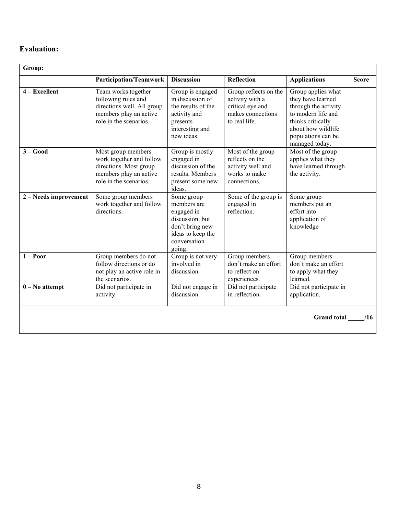## **Evaluation:**

| Group:                    |                                                                                                                              |                                                                                                                              |                                                                                                    |                                                                                                                                                                          |              |
|---------------------------|------------------------------------------------------------------------------------------------------------------------------|------------------------------------------------------------------------------------------------------------------------------|----------------------------------------------------------------------------------------------------|--------------------------------------------------------------------------------------------------------------------------------------------------------------------------|--------------|
|                           | <b>Participation/Teamwork</b>                                                                                                | <b>Discussion</b>                                                                                                            | <b>Reflection</b>                                                                                  | <b>Applications</b>                                                                                                                                                      | <b>Score</b> |
| $4 - Excellent$           | Team works together<br>following rules and<br>directions well. All group<br>members play an active<br>role in the scenarios. | Group is engaged<br>in discussion of<br>the results of the<br>activity and<br>presents<br>interesting and<br>new ideas.      | Group reflects on the<br>activity with a<br>critical eye and<br>makes connections<br>to real life. | Group applies what<br>they have learned<br>through the activity<br>to modern life and<br>thinks critically<br>about how wildlife<br>populations can be<br>managed today. |              |
| $3 - Good$                | Most group members<br>work together and follow<br>directions. Most group<br>members play an active<br>role in the scenarios. | Group is mostly<br>engaged in<br>discussion of the<br>results. Members<br>present some new<br>ideas.                         | Most of the group<br>reflects on the<br>activity well and<br>works to make<br>connections.         | Most of the group<br>applies what they<br>have learned through<br>the activity.                                                                                          |              |
| 2 – Needs improvement     | Some group members<br>work together and follow<br>directions.                                                                | Some group<br>members are<br>engaged in<br>discussion, but<br>don't bring new<br>ideas to keep the<br>conversation<br>going. | Some of the group is<br>engaged in<br>reflection.                                                  | Some group<br>members put an<br>effort into<br>application of<br>knowledge                                                                                               |              |
| $1 - Poor$                | Group members do not<br>follow directions or do<br>not play an active role in<br>the scenarios.                              | Group is not very<br>involved in<br>discussion.                                                                              | Group members<br>don't make an effort<br>to reflect on<br>experiences.                             | Group members<br>don't make an effort<br>to apply what they<br>learned.                                                                                                  |              |
| $0 - No$ attempt          | Did not participate in<br>activity.                                                                                          | Did not engage in<br>discussion.                                                                                             | Did not participate<br>in reflection.                                                              | Did not participate in<br>application.                                                                                                                                   |              |
| <b>Grand</b> total<br>/16 |                                                                                                                              |                                                                                                                              |                                                                                                    |                                                                                                                                                                          |              |